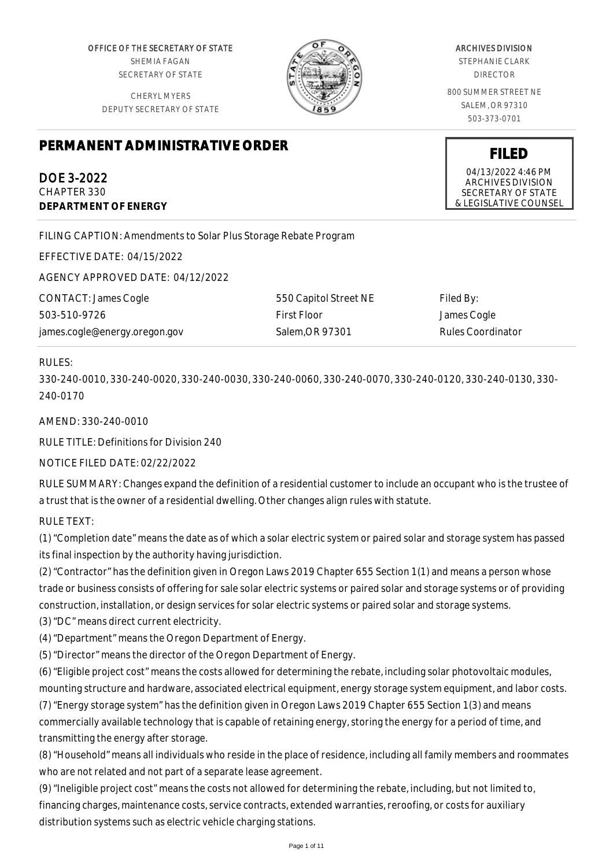OFFICE OF THE SECRETARY OF STATE SHEMIA FAGAN SECRETARY OF STATE

CHERYL MYERS DEPUTY SECRETARY OF STATE



#### ARCHIVES DIVISION

STEPHANIE CLARK DIRECTOR

800 SUMMER STREET NE SALEM, OR 97310 503-373-0701

**FILED** 04/13/2022 4:46 PM ARCHIVES DIVISION SECRETARY OF STATE & LEGISLATIVE COUNSEL

# **PERMANENT ADMINISTRATIVE ORDER**

DOE 3-2022 CHAPTER 330 **DEPARTMENT OF ENERGY**

FILING CAPTION: Amendments to Solar Plus Storage Rebate Program

EFFECTIVE DATE: 04/15/2022

AGENCY APPROVED DATE: 04/12/2022

CONTACT: James Cogle 503-510-9726 james.cogle@energy.oregon.gov

550 Capitol Street NE First Floor Salem,OR 97301

Filed By: James Cogle Rules Coordinator

## RULES:

330-240-0010, 330-240-0020, 330-240-0030, 330-240-0060, 330-240-0070, 330-240-0120, 330-240-0130, 330- 240-0170

## AMEND: 330-240-0010

RULE TITLE: Definitions for Division 240

## NOTICE FILED DATE: 02/22/2022

RULE SUMMARY: Changes expand the definition of a residential customer to include an occupant who is the trustee of a trust that is the owner of a residential dwelling. Other changes align rules with statute.

RULE TEXT:

(1) "Completion date" means the date as of which a solar electric system or paired solar and storage system has passed its final inspection by the authority having jurisdiction.

(2) "Contractor" has the definition given in Oregon Laws 2019 Chapter 655 Section 1(1) and means a person whose trade or business consists of offering for sale solar electric systems or paired solar and storage systems or of providing construction, installation, or design services for solar electric systems or paired solar and storage systems.

(3) "DC" means direct current electricity.

(4) "Department" means the Oregon Department of Energy.

(5) "Director" means the director of the Oregon Department of Energy.

(6) "Eligible project cost" means the costs allowed for determining the rebate, including solar photovoltaic modules, mounting structure and hardware, associated electrical equipment, energy storage system equipment, and labor costs.

(7) "Energy storage system" has the definition given in Oregon Laws 2019 Chapter 655 Section 1(3) and means commercially available technology that is capable of retaining energy, storing the energy for a period of time, and transmitting the energy after storage.

(8) "Household" means all individuals who reside in the place of residence, including all family members and roommates who are not related and not part of a separate lease agreement.

(9) "Ineligible project cost" means the costs not allowed for determining the rebate, including, but not limited to, financing charges, maintenance costs, service contracts, extended warranties, reroofing, or costs for auxiliary distribution systems such as electric vehicle charging stations.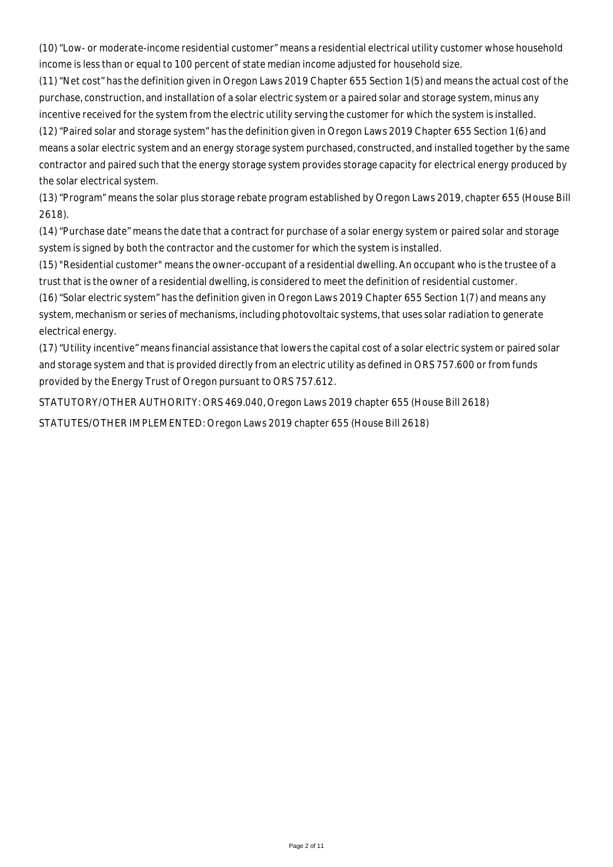(10) "Low- or moderate-income residential customer" means a residential electrical utility customer whose household income is less than or equal to 100 percent of state median income adjusted for household size.

(11) "Net cost" has the definition given in Oregon Laws 2019 Chapter 655 Section 1(5) and means the actual cost of the purchase, construction, and installation of a solar electric system or a paired solar and storage system, minus any incentive received for the system from the electric utility serving the customer for which the system is installed.

(12) "Paired solar and storage system" has the definition given in Oregon Laws 2019 Chapter 655 Section 1(6) and means a solar electric system and an energy storage system purchased, constructed, and installed together by the same contractor and paired such that the energy storage system provides storage capacity for electrical energy produced by the solar electrical system.

(13) "Program" means the solar plus storage rebate program established by Oregon Laws 2019, chapter 655 (House Bill 2618).

(14) "Purchase date" means the date that a contract for purchase of a solar energy system or paired solar and storage system is signed by both the contractor and the customer for which the system is installed.

(15) "Residential customer" means the owner-occupant of a residential dwelling. An occupant who is the trustee of a trust that is the owner of a residential dwelling, is considered to meet the definition of residential customer.

(16) "Solar electric system" has the definition given in Oregon Laws 2019 Chapter 655 Section 1(7) and means any system, mechanism or series of mechanisms, including photovoltaic systems, that uses solar radiation to generate electrical energy.

(17) "Utility incentive" means financial assistance that lowers the capital cost of a solar electric system or paired solar and storage system and that is provided directly from an electric utility as defined in ORS 757.600 or from funds provided by the Energy Trust of Oregon pursuant to ORS 757.612.

STATUTORY/OTHER AUTHORITY: ORS 469.040, Oregon Laws 2019 chapter 655 (House Bill 2618)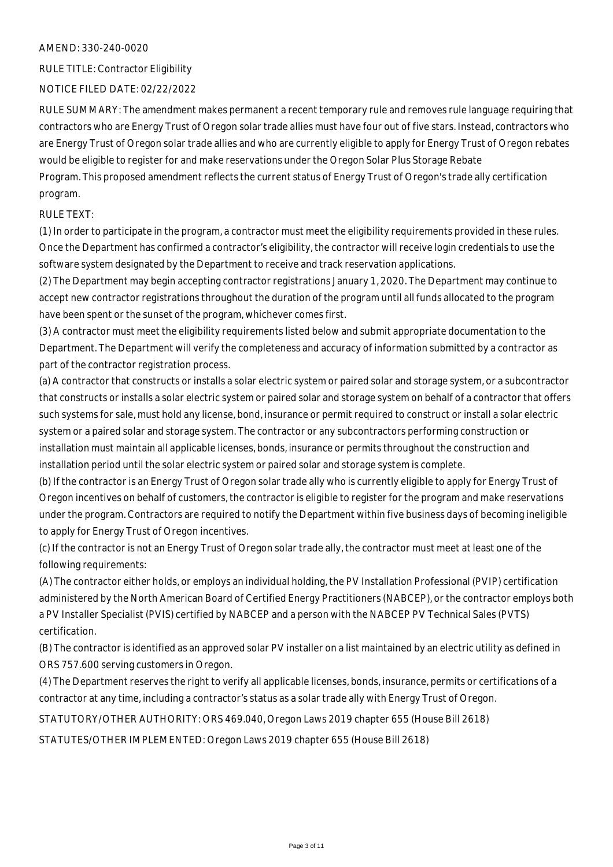#### RULE TITLE: Contractor Eligibility

#### NOTICE FILED DATE: 02/22/2022

RULE SUMMARY: The amendment makes permanent a recent temporary rule and removes rule language requiring that contractors who are Energy Trust of Oregon solar trade allies must have four out of five stars. Instead, contractors who are Energy Trust of Oregon solar trade allies and who are currently eligible to apply for Energy Trust of Oregon rebates would be eligible to register for and make reservations under the Oregon Solar Plus Storage Rebate Program. This proposed amendment reflects the current status of Energy Trust of Oregon's trade ally certification program.

#### RULE TEXT:

(1) In order to participate in the program, a contractor must meet the eligibility requirements provided in these rules. Once the Department has confirmed a contractor's eligibility, the contractor will receive login credentials to use the software system designated by the Department to receive and track reservation applications.

(2) The Department may begin accepting contractor registrations January 1, 2020. The Department may continue to accept new contractor registrations throughout the duration of the program until all funds allocated to the program have been spent or the sunset of the program, whichever comes first.

(3) A contractor must meet the eligibility requirements listed below and submit appropriate documentation to the Department. The Department will verify the completeness and accuracy of information submitted by a contractor as part of the contractor registration process.

(a) A contractor that constructs or installs a solar electric system or paired solar and storage system, or a subcontractor that constructs or installs a solar electric system or paired solar and storage system on behalf of a contractor that offers such systems for sale, must hold any license, bond, insurance or permit required to construct or install a solar electric system or a paired solar and storage system. The contractor or any subcontractors performing construction or installation must maintain all applicable licenses, bonds, insurance or permits throughout the construction and installation period until the solar electric system or paired solar and storage system is complete.

(b) If the contractor is an Energy Trust of Oregon solar trade ally who is currently eligible to apply for Energy Trust of Oregon incentives on behalf of customers, the contractor is eligible to register for the program and make reservations under the program. Contractors are required to notify the Department within five business days of becoming ineligible to apply for Energy Trust of Oregon incentives.

(c) If the contractor is not an Energy Trust of Oregon solar trade ally, the contractor must meet at least one of the following requirements:

(A) The contractor either holds, or employs an individual holding, the PV Installation Professional (PVIP) certification administered by the North American Board of Certified Energy Practitioners (NABCEP), or the contractor employs both a PV Installer Specialist (PVIS) certified by NABCEP and a person with the NABCEP PV Technical Sales (PVTS) certification.

(B) The contractor is identified as an approved solar PV installer on a list maintained by an electric utility as defined in ORS 757.600 serving customers in Oregon.

(4) The Department reserves the right to verify all applicable licenses, bonds, insurance, permits or certifications of a contractor at any time, including a contractor's status as a solar trade ally with Energy Trust of Oregon.

STATUTORY/OTHER AUTHORITY: ORS 469.040, Oregon Laws 2019 chapter 655 (House Bill 2618)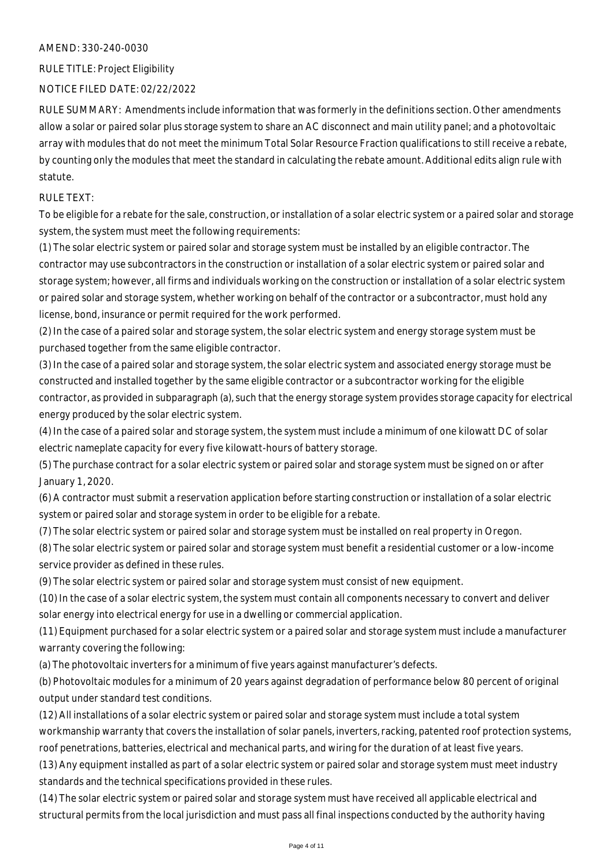RULE TITLE: Project Eligibility

#### NOTICE FILED DATE: 02/22/2022

RULE SUMMARY: Amendments include information that was formerly in the definitions section. Other amendments allow a solar or paired solar plus storage system to share an AC disconnect and main utility panel; and a photovoltaic array with modules that do not meet the minimum Total Solar Resource Fraction qualifications to still receive a rebate, by counting only the modules that meet the standard in calculating the rebate amount. Additional edits align rule with statute.

## RULE TEXT:

To be eligible for a rebate for the sale, construction, or installation of a solar electric system or a paired solar and storage system, the system must meet the following requirements:

(1) The solar electric system or paired solar and storage system must be installed by an eligible contractor. The contractor may use subcontractors in the construction or installation of a solar electric system or paired solar and storage system; however, all firms and individuals working on the construction or installation of a solar electric system or paired solar and storage system, whether working on behalf of the contractor or a subcontractor, must hold any license, bond, insurance or permit required for the work performed.

(2) In the case of a paired solar and storage system, the solar electric system and energy storage system must be purchased together from the same eligible contractor.

(3) In the case of a paired solar and storage system, the solar electric system and associated energy storage must be constructed and installed together by the same eligible contractor or a subcontractor working for the eligible contractor, as provided in subparagraph (a), such that the energy storage system provides storage capacity for electrical energy produced by the solar electric system.

(4) In the case of a paired solar and storage system, the system must include a minimum of one kilowatt DC of solar electric nameplate capacity for every five kilowatt-hours of battery storage.

(5) The purchase contract for a solar electric system or paired solar and storage system must be signed on or after January 1, 2020.

(6) A contractor must submit a reservation application before starting construction or installation of a solar electric system or paired solar and storage system in order to be eligible for a rebate.

(7) The solar electric system or paired solar and storage system must be installed on real property in Oregon.

(8) The solar electric system or paired solar and storage system must benefit a residential customer or a low-income service provider as defined in these rules.

(9) The solar electric system or paired solar and storage system must consist of new equipment.

(10) In the case of a solar electric system, the system must contain all components necessary to convert and deliver solar energy into electrical energy for use in a dwelling or commercial application.

(11) Equipment purchased for a solar electric system or a paired solar and storage system must include a manufacturer warranty covering the following:

(a) The photovoltaic inverters for a minimum of five years against manufacturer's defects.

(b) Photovoltaic modules for a minimum of 20 years against degradation of performance below 80 percent of original output under standard test conditions.

(12) All installations of a solar electric system or paired solar and storage system must include a total system workmanship warranty that covers the installation of solar panels, inverters, racking, patented roof protection systems, roof penetrations, batteries, electrical and mechanical parts, and wiring for the duration of at least five years.

(13) Any equipment installed as part of a solar electric system or paired solar and storage system must meet industry standards and the technical specifications provided in these rules.

(14) The solar electric system or paired solar and storage system must have received all applicable electrical and structural permits from the local jurisdiction and must pass all final inspections conducted by the authority having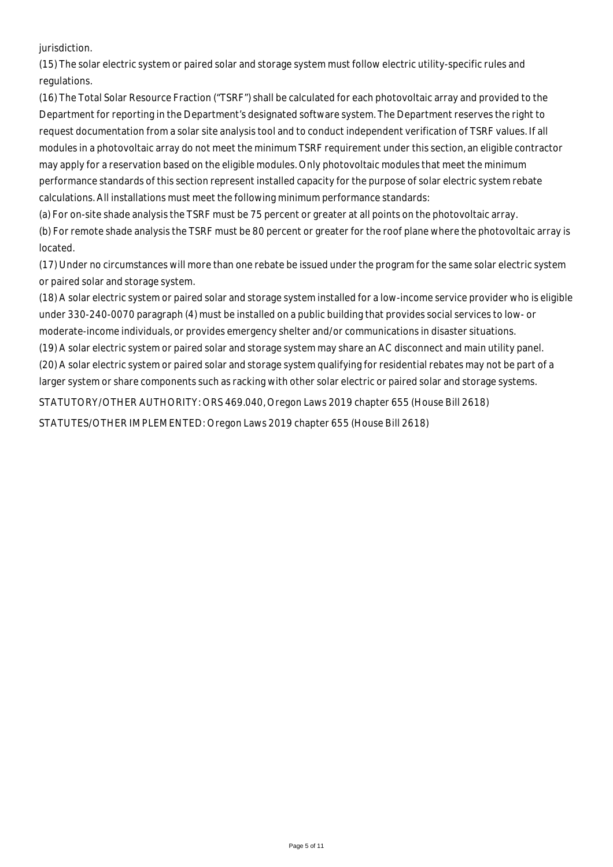jurisdiction.

(15) The solar electric system or paired solar and storage system must follow electric utility-specific rules and regulations.

(16) The Total Solar Resource Fraction ("TSRF") shall be calculated for each photovoltaic array and provided to the Department for reporting in the Department's designated software system. The Department reserves the right to request documentation from a solar site analysis tool and to conduct independent verification of TSRF values. If all modules in a photovoltaic array do not meet the minimum TSRF requirement under this section, an eligible contractor may apply for a reservation based on the eligible modules. Only photovoltaic modules that meet the minimum performance standards of this section represent installed capacity for the purpose of solar electric system rebate calculations. All installations must meet the following minimum performance standards:

(a) For on-site shade analysis the TSRF must be 75 percent or greater at all points on the photovoltaic array.

(b) For remote shade analysis the TSRF must be 80 percent or greater for the roof plane where the photovoltaic array is located.

(17) Under no circumstances will more than one rebate be issued under the program for the same solar electric system or paired solar and storage system.

(18) A solar electric system or paired solar and storage system installed for a low-income service provider who is eligible under 330-240-0070 paragraph (4) must be installed on a public building that provides social services to low- or moderate-income individuals, or provides emergency shelter and/or communications in disaster situations.

(19) A solar electric system or paired solar and storage system may share an AC disconnect and main utility panel. (20) A solar electric system or paired solar and storage system qualifying for residential rebates may not be part of a larger system or share components such as racking with other solar electric or paired solar and storage systems.

STATUTORY/OTHER AUTHORITY: ORS 469.040, Oregon Laws 2019 chapter 655 (House Bill 2618)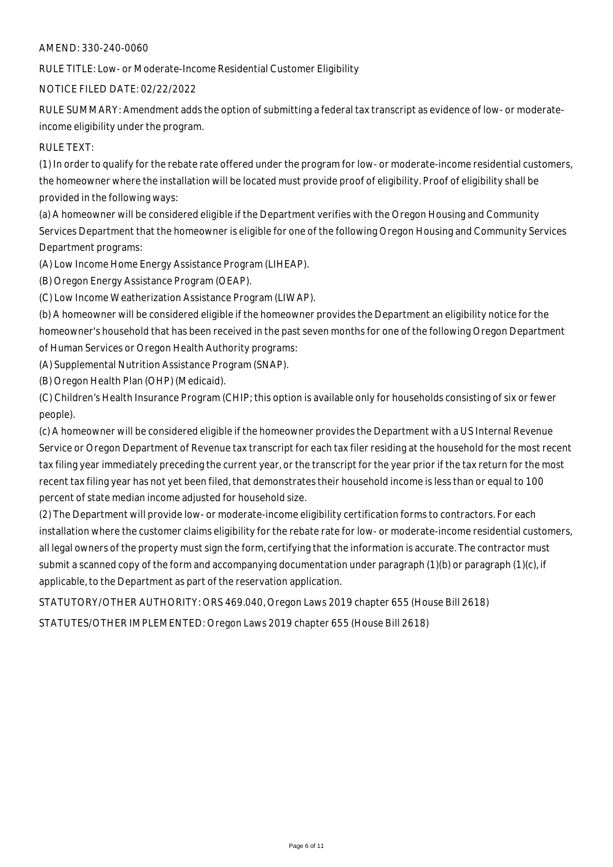RULE TITLE: Low- or Moderate-Income Residential Customer Eligibility

#### NOTICE FILED DATE: 02/22/2022

RULE SUMMARY: Amendment adds the option of submitting a federal tax transcript as evidence of low- or moderateincome eligibility under the program.

#### RULE TEXT:

(1) In order to qualify for the rebate rate offered under the program for low- or moderate-income residential customers, the homeowner where the installation will be located must provide proof of eligibility. Proof of eligibility shall be provided in the following ways:

(a) A homeowner will be considered eligible if the Department verifies with the Oregon Housing and Community Services Department that the homeowner is eligible for one of the following Oregon Housing and Community Services Department programs:

(A) Low Income Home Energy Assistance Program (LIHEAP).

(B) Oregon Energy Assistance Program (OEAP).

(C) Low Income Weatherization Assistance Program (LIWAP).

(b) A homeowner will be considered eligible if the homeowner provides the Department an eligibility notice for the homeowner's household that has been received in the past seven months for one of the following Oregon Department of Human Services or Oregon Health Authority programs:

(A) Supplemental Nutrition Assistance Program (SNAP).

(B) Oregon Health Plan (OHP) (Medicaid).

(C) Children's Health Insurance Program (CHIP; this option is available only for households consisting of six or fewer people).

(c) A homeowner will be considered eligible if the homeowner provides the Department with a US Internal Revenue Service or Oregon Department of Revenue tax transcript for each tax filer residing at the household for the most recent tax filing year immediately preceding the current year, or the transcript for the year prior if the tax return for the most recent tax filing year has not yet been filed, that demonstrates their household income is less than or equal to 100 percent of state median income adjusted for household size.

(2) The Department will provide low- or moderate-income eligibility certification forms to contractors. For each installation where the customer claims eligibility for the rebate rate for low- or moderate-income residential customers, all legal owners of the property must sign the form, certifying that the information is accurate. The contractor must submit a scanned copy of the form and accompanying documentation under paragraph (1)(b) or paragraph (1)(c), if applicable, to the Department as part of the reservation application.

STATUTORY/OTHER AUTHORITY: ORS 469.040, Oregon Laws 2019 chapter 655 (House Bill 2618)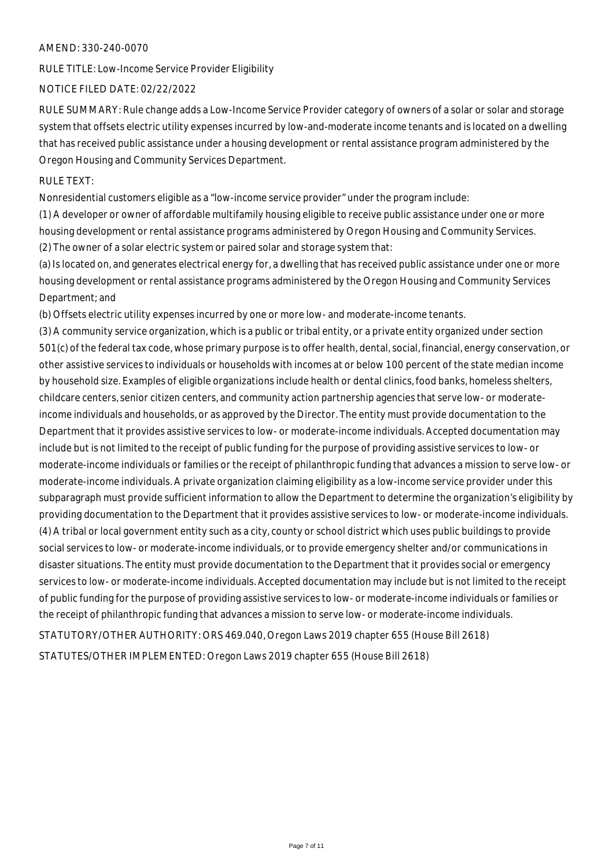RULE TITLE: Low-Income Service Provider Eligibility

#### NOTICE FILED DATE: 02/22/2022

RULE SUMMARY: Rule change adds a Low-Income Service Provider category of owners of a solar or solar and storage system that offsets electric utility expenses incurred by low-and-moderate income tenants and is located on a dwelling that has received public assistance under a housing development or rental assistance program administered by the Oregon Housing and Community Services Department.

#### RULE TEXT:

Nonresidential customers eligible as a "low-income service provider" under the program include:

(1) A developer or owner of affordable multifamily housing eligible to receive public assistance under one or more housing development or rental assistance programs administered by Oregon Housing and Community Services. (2) The owner of a solar electric system or paired solar and storage system that:

(a) Is located on, and generates electrical energy for, a dwelling that has received public assistance under one or more housing development or rental assistance programs administered by the Oregon Housing and Community Services Department; and

(b) Offsets electric utility expenses incurred by one or more low- and moderate-income tenants.

(3) A community service organization, which is a public or tribal entity, or a private entity organized under section 501(c) of the federal tax code, whose primary purpose is to offer health, dental, social, financial, energy conservation, or other assistive services to individuals or households with incomes at or below 100 percent of the state median income by household size. Examples of eligible organizations include health or dental clinics, food banks, homeless shelters, childcare centers, senior citizen centers, and community action partnership agencies that serve low- or moderateincome individuals and households, or as approved by the Director. The entity must provide documentation to the Department that it provides assistive services to low- or moderate-income individuals. Accepted documentation may include but is not limited to the receipt of public funding for the purpose of providing assistive services to low- or moderate-income individuals or families or the receipt of philanthropic funding that advances a mission to serve low- or moderate-income individuals. A private organization claiming eligibility as a low-income service provider under this subparagraph must provide sufficient information to allow the Department to determine the organization's eligibility by providing documentation to the Department that it provides assistive services to low- or moderate-income individuals. (4) A tribal or local government entity such as a city, county or school district which uses public buildings to provide social services to low- or moderate-income individuals, or to provide emergency shelter and/or communications in disaster situations. The entity must provide documentation to the Department that it provides social or emergency services to low- or moderate-income individuals. Accepted documentation may include but is not limited to the receipt of public funding for the purpose of providing assistive services to low- or moderate-income individuals or families or the receipt of philanthropic funding that advances a mission to serve low- or moderate-income individuals.

STATUTORY/OTHER AUTHORITY: ORS 469.040, Oregon Laws 2019 chapter 655 (House Bill 2618)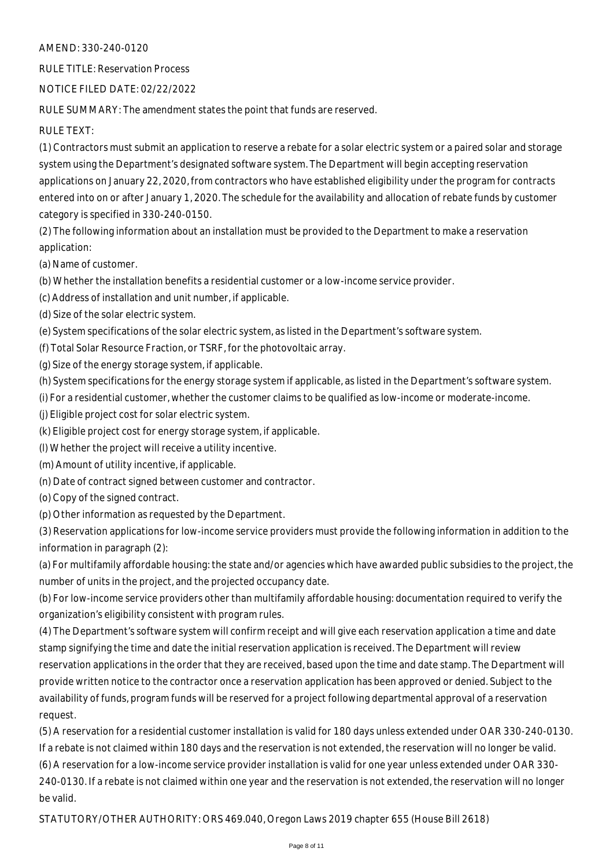RULE TITLE: Reservation Process

NOTICE FILED DATE: 02/22/2022

RULE SUMMARY: The amendment states the point that funds are reserved.

RULE TEXT:

(1) Contractors must submit an application to reserve a rebate for a solar electric system or a paired solar and storage system using the Department's designated software system. The Department will begin accepting reservation applications on January 22, 2020, from contractors who have established eligibility under the program for contracts entered into on or after January 1, 2020. The schedule for the availability and allocation of rebate funds by customer category is specified in 330-240-0150.

(2) The following information about an installation must be provided to the Department to make a reservation application:

(a) Name of customer.

(b) Whether the installation benefits a residential customer or a low-income service provider.

(c) Address of installation and unit number, if applicable.

(d) Size of the solar electric system.

(e) System specifications of the solar electric system, as listed in the Department's software system.

(f) Total Solar Resource Fraction, or TSRF, for the photovoltaic array.

(g) Size of the energy storage system, if applicable.

(h) System specifications for the energy storage system if applicable, as listed in the Department's software system.

(i) For a residential customer, whether the customer claims to be qualified as low-income or moderate-income.

(j) Eligible project cost for solar electric system.

(k) Eligible project cost for energy storage system, if applicable.

(l) Whether the project will receive a utility incentive.

(m) Amount of utility incentive, if applicable.

(n) Date of contract signed between customer and contractor.

(o) Copy of the signed contract.

be valid.

(p) Other information as requested by the Department.

(3) Reservation applications for low-income service providers must provide the following information in addition to the information in paragraph (2):

(a) For multifamily affordable housing: the state and/or agencies which have awarded public subsidies to the project, the number of units in the project, and the projected occupancy date.

(b) For low-income service providers other than multifamily affordable housing: documentation required to verify the organization's eligibility consistent with program rules.

(4) The Department's software system will confirm receipt and will give each reservation application a time and date stamp signifying the time and date the initial reservation application is received. The Department will review reservation applications in the order that they are received, based upon the time and date stamp. The Department will provide written notice to the contractor once a reservation application has been approved or denied. Subject to the availability of funds, program funds will be reserved for a project following departmental approval of a reservation request.

(5) A reservation for a residential customer installation is valid for 180 days unless extended under OAR 330-240-0130. If a rebate is not claimed within 180 days and the reservation is not extended, the reservation will no longer be valid. (6) A reservation for a low-income service provider installation is valid for one year unless extended under OAR 330- 240-0130. If a rebate is not claimed within one year and the reservation is not extended, the reservation will no longer

STATUTORY/OTHER AUTHORITY: ORS 469.040, Oregon Laws 2019 chapter 655 (House Bill 2618)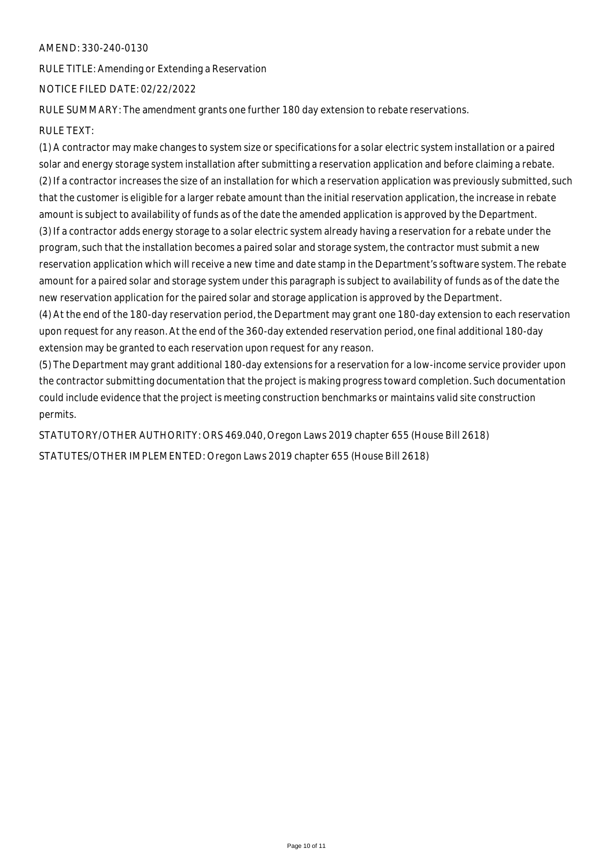RULE TITLE: Amending or Extending a Reservation

NOTICE FILED DATE: 02/22/2022

RULE SUMMARY: The amendment grants one further 180 day extension to rebate reservations.

## RULE TEXT:

(1) A contractor may make changes to system size or specifications for a solar electric system installation or a paired solar and energy storage system installation after submitting a reservation application and before claiming a rebate. (2) If a contractor increases the size of an installation for which a reservation application was previously submitted, such that the customer is eligible for a larger rebate amount than the initial reservation application, the increase in rebate amount is subject to availability of funds as of the date the amended application is approved by the Department. (3) If a contractor adds energy storage to a solar electric system already having a reservation for a rebate under the program, such that the installation becomes a paired solar and storage system, the contractor must submit a new reservation application which will receive a new time and date stamp in the Department's software system. The rebate amount for a paired solar and storage system under this paragraph is subject to availability of funds as of the date the new reservation application for the paired solar and storage application is approved by the Department.

(4) At the end of the 180-day reservation period, the Department may grant one 180-day extension to each reservation upon request for any reason. At the end of the 360-day extended reservation period, one final additional 180-day extension may be granted to each reservation upon request for any reason.

(5) The Department may grant additional 180-day extensions for a reservation for a low-income service provider upon the contractor submitting documentation that the project is making progress toward completion. Such documentation could include evidence that the project is meeting construction benchmarks or maintains valid site construction permits.

STATUTORY/OTHER AUTHORITY: ORS 469.040, Oregon Laws 2019 chapter 655 (House Bill 2618) STATUTES/OTHER IMPLEMENTED: Oregon Laws 2019 chapter 655 (House Bill 2618)